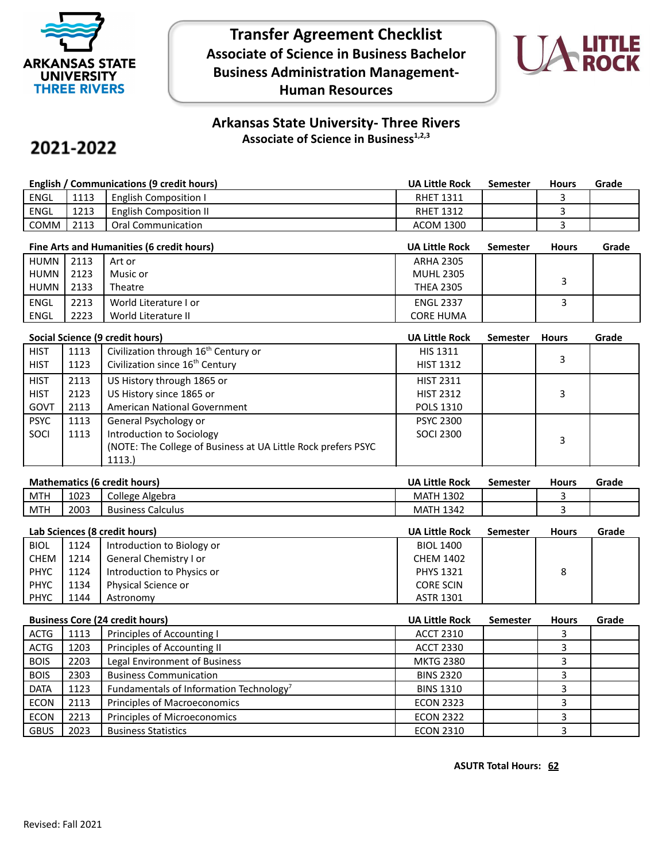

**Transfer Agreement Checklist Associate of Science in Business Bachelor Business Administration Management-Human Resources**



## **Arkansas State University- Three Rivers Associate of Science in Business1,2,3**

## 2021-2022

| English / Communications (9 credit hours) |      |                               | <b>UA Little Rock</b> | Semester | <b>Hours</b> | Grade |
|-------------------------------------------|------|-------------------------------|-----------------------|----------|--------------|-------|
| <b>ENGL</b>                               | 1113 | <b>English Composition I</b>  | <b>RHET 1311</b>      |          |              |       |
| ENGL                                      | 1213 | <b>English Composition II</b> | <b>RHET 1312</b>      |          |              |       |
| <b>COMM</b>                               | 2113 | <b>Oral Communication</b>     | <b>ACOM 1300</b>      |          |              |       |

|             | Fine Arts and Humanities (6 credit hours) |                       |                  | <b>Semester</b> | <b>Hours</b> | Grade |
|-------------|-------------------------------------------|-----------------------|------------------|-----------------|--------------|-------|
| HUMN I      | 2113                                      | Art or                | <b>ARHA 2305</b> |                 |              |       |
| HUMN        | 2123                                      | Music or              | <b>MUHL 2305</b> |                 |              |       |
| HUMN I      | 2133                                      | Theatre               | <b>THEA 2305</b> |                 |              |       |
| <b>ENGL</b> | 2213                                      | World Literature I or | <b>ENGL 2337</b> |                 |              |       |
| ENGL        | 2223                                      | World Literature II   | <b>CORE HUMA</b> |                 |              |       |

|             | Social Science (9 credit hours) |                                                                |                  | <b>Semester</b> | <b>Hours</b> | Grade |
|-------------|---------------------------------|----------------------------------------------------------------|------------------|-----------------|--------------|-------|
| <b>HIST</b> | 1113                            | Civilization through 16 <sup>th</sup> Century or               | <b>HIS 1311</b>  |                 |              |       |
| <b>HIST</b> | 1123                            | Civilization since 16 <sup>th</sup> Century                    | <b>HIST 1312</b> |                 | 3            |       |
| <b>HIST</b> | 2113                            | US History through 1865 or                                     | <b>HIST 2311</b> |                 |              |       |
| <b>HIST</b> | 2123                            | US History since 1865 or                                       | <b>HIST 2312</b> |                 | 3            |       |
| GOVT        | 2113                            | American National Government                                   | <b>POLS 1310</b> |                 |              |       |
| <b>PSYC</b> | 1113                            | General Psychology or                                          | <b>PSYC 2300</b> |                 |              |       |
| SOCI        | 1113                            | Introduction to Sociology                                      | <b>SOCI 2300</b> |                 | 3            |       |
|             |                                 | (NOTE: The College of Business at UA Little Rock prefers PSYC) |                  |                 |              |       |
|             |                                 | 1113.)                                                         |                  |                 |              |       |

## **Mathematics (6 credit hours) UA Little Rock Semester Hours Grade**

| __<br>___  | _____     | ____<br>__                       | ----<br>____                        | ___<br>------ | ___ | ------ |
|------------|-----------|----------------------------------|-------------------------------------|---------------|-----|--------|
| <b>MTH</b> | .<br>1023 | College<br>Algebra               | 1202<br>$\lambda$<br>IVIAL.<br>130Z |               |     |        |
| <b>MTH</b> | 2003      | -<br>Calculus<br><b>Business</b> | $\sim$ $\sim$<br>NIP.<br>1342       |               |     |        |
|            |           |                                  |                                     |               |     |        |

| Lab Sciences (8 credit hours) |      |                            | <b>UA Little Rock</b> | <b>Semester</b> | <b>Hours</b> | Grade |
|-------------------------------|------|----------------------------|-----------------------|-----------------|--------------|-------|
| <b>BIOL</b>                   | 1124 | Introduction to Biology or | <b>BIOL 1400</b>      |                 |              |       |
| CHEM                          | 1214 | General Chemistry I or     | <b>CHEM 1402</b>      |                 |              |       |
| <b>PHYC</b>                   | 1124 | Introduction to Physics or | <b>PHYS 1321</b>      |                 | 8            |       |
| PHYC                          | 1134 | Physical Science or        | <b>CORE SCIN</b>      |                 |              |       |
| <b>PHYC</b>                   | 1144 | Astronomy                  | <b>ASTR 1301</b>      |                 |              |       |

|             | <b>Business Core (24 credit hours)</b> |                                                     |                  | <b>Semester</b> | <b>Hours</b> | Grade |
|-------------|----------------------------------------|-----------------------------------------------------|------------------|-----------------|--------------|-------|
| ACTG        | 1113                                   | Principles of Accounting I                          | <b>ACCT 2310</b> |                 |              |       |
| <b>ACTG</b> | 1203                                   | Principles of Accounting II                         | <b>ACCT 2330</b> |                 |              |       |
| <b>BOIS</b> | 2203                                   | Legal Environment of Business                       | <b>MKTG 2380</b> |                 |              |       |
| <b>BOIS</b> | 2303                                   | <b>Business Communication</b>                       | <b>BINS 2320</b> |                 |              |       |
| <b>DATA</b> | 1123                                   | Fundamentals of Information Technology <sup>7</sup> | <b>BINS 1310</b> |                 |              |       |
| <b>ECON</b> | 2113                                   | Principles of Macroeconomics                        | <b>ECON 2323</b> |                 |              |       |
| <b>ECON</b> | 2213                                   | Principles of Microeconomics                        | <b>ECON 2322</b> |                 |              |       |
| <b>GBUS</b> | 2023                                   | <b>Business Statistics</b>                          | <b>ECON 2310</b> |                 |              |       |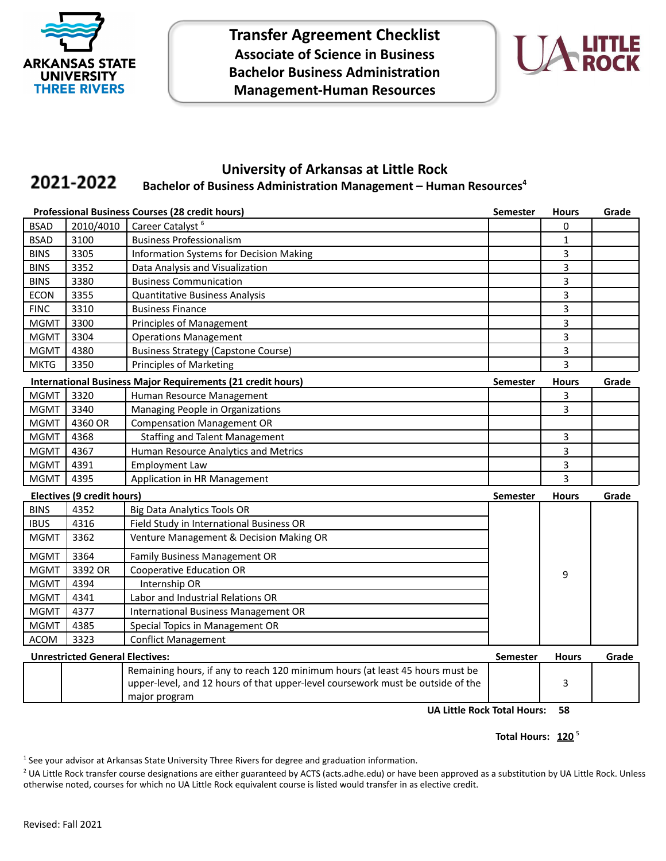

**Transfer Agreement Checklist Associate of Science in Business Bachelor Business Administration Management-Human Resources**



## **University of Arkansas at Little Rock** 2021-2022 **Bachelor of Business Administration Management – Human Resources<sup>4</sup>**

|                                        |                            | <b>Professional Business Courses (28 credit hours)</b>                          | <b>Semester</b> | <b>Hours</b> | Grade |
|----------------------------------------|----------------------------|---------------------------------------------------------------------------------|-----------------|--------------|-------|
| <b>BSAD</b>                            | 2010/4010                  | Career Catalyst <sup>6</sup>                                                    |                 | 0            |       |
| <b>BSAD</b>                            | 3100                       | <b>Business Professionalism</b>                                                 |                 | $\mathbf{1}$ |       |
| <b>BINS</b>                            | 3305                       | <b>Information Systems for Decision Making</b>                                  |                 | 3            |       |
| <b>BINS</b>                            | 3352                       | Data Analysis and Visualization                                                 |                 | 3            |       |
| <b>BINS</b>                            | 3380                       | <b>Business Communication</b>                                                   |                 | 3            |       |
| <b>ECON</b>                            | 3355                       | <b>Quantitative Business Analysis</b>                                           |                 | 3            |       |
| <b>FINC</b>                            | 3310                       | <b>Business Finance</b>                                                         |                 | 3            |       |
| <b>MGMT</b>                            | 3300                       | <b>Principles of Management</b>                                                 |                 | 3            |       |
| <b>MGMT</b>                            | 3304                       | <b>Operations Management</b>                                                    |                 | 3            |       |
| <b>MGMT</b>                            | 4380                       | <b>Business Strategy (Capstone Course)</b>                                      |                 | 3            |       |
| <b>MKTG</b>                            | 3350                       | <b>Principles of Marketing</b>                                                  |                 | 3            |       |
|                                        |                            | International Business Major Requirements (21 credit hours)                     | <b>Semester</b> | <b>Hours</b> | Grade |
| <b>MGMT</b>                            | 3320                       | Human Resource Management                                                       |                 | 3            |       |
| <b>MGMT</b>                            | 3340                       | Managing People in Organizations                                                |                 | 3            |       |
| <b>MGMT</b>                            | 4360 OR                    | <b>Compensation Management OR</b>                                               |                 |              |       |
| <b>MGMT</b>                            | 4368                       | <b>Staffing and Talent Management</b>                                           |                 | 3            |       |
| <b>MGMT</b>                            | 4367                       | Human Resource Analytics and Metrics                                            |                 | 3            |       |
| <b>MGMT</b>                            | 4391                       | <b>Employment Law</b>                                                           |                 | 3            |       |
| <b>MGMT</b>                            | 4395                       | Application in HR Management                                                    |                 | 3            |       |
|                                        | Electives (9 credit hours) |                                                                                 | <b>Semester</b> | <b>Hours</b> | Grade |
| <b>BINS</b>                            | 4352                       | <b>Big Data Analytics Tools OR</b>                                              |                 |              |       |
| <b>IBUS</b>                            | 4316                       | Field Study in International Business OR                                        |                 |              |       |
| <b>MGMT</b>                            | 3362                       | Venture Management & Decision Making OR                                         |                 |              |       |
| <b>MGMT</b>                            | 3364                       | Family Business Management OR                                                   |                 |              |       |
| <b>MGMT</b>                            | 3392 OR                    | <b>Cooperative Education OR</b>                                                 |                 | 9            |       |
| <b>MGMT</b>                            | 4394                       | Internship OR                                                                   |                 |              |       |
| <b>MGMT</b>                            | 4341                       | Labor and Industrial Relations OR                                               |                 |              |       |
| <b>MGMT</b>                            | 4377                       | <b>International Business Management OR</b>                                     |                 |              |       |
| <b>MGMT</b>                            | 4385                       | Special Topics in Management OR                                                 |                 |              |       |
| <b>ACOM</b>                            | 3323                       | <b>Conflict Management</b>                                                      |                 |              |       |
| <b>Unrestricted General Electives:</b> |                            | Semester                                                                        | <b>Hours</b>    | Grade        |       |
|                                        |                            | Remaining hours, if any to reach 120 minimum hours (at least 45 hours must be   |                 |              |       |
|                                        |                            | upper-level, and 12 hours of that upper-level coursework must be outside of the |                 | 3            |       |
|                                        |                            | major program                                                                   |                 |              |       |

**UA Little Rock Total Hours: 58**

Total Hours: 120<sup>5</sup>

<sup>1</sup> See your advisor at Arkansas State University Three Rivers for degree and graduation information.

<sup>2</sup> UA Little Rock transfer course designations are either guaranteed by ACTS (acts.adhe.edu) or have been approved as a substitution by UA Little Rock. Unless otherwise noted, courses for which no UA Little Rock equivalent course is listed would transfer in as elective credit.